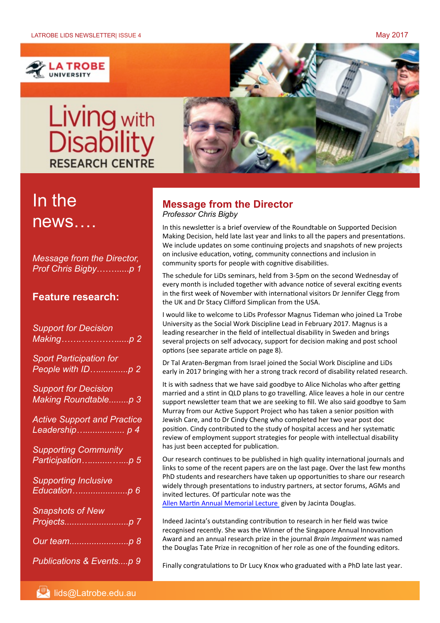

# Living with<br>Disability **RESEARCH CENTRE**



# In the news….

*Message from the Director, Prof Chris Bigby*……......*p 1* 

## **Feature research:**

| <b>Support for Decision</b><br>Making……………………p 2               |
|----------------------------------------------------------------|
| <b>Sport Participation for</b><br>People with IDp 2            |
| <b>Support for Decision</b><br>Making Roundtablep 3            |
| <b>Active Support and Practice</b><br>Leadership p 4           |
| <b>Supporting Community</b><br>Participation… <sub>.</sub> p 5 |
| Supporting Inclusive<br>Educationp 6                           |
| <b>Snapshots of New</b><br>Projectsp 7                         |
| Our teamp 8                                                    |
| Publications & Eventsp 9                                       |

### **Message from the Director**  *Professor Chris Bigby*

In this newsletter is a brief overview of the Roundtable on Supported Decision Making Decision, held late last year and links to all the papers and presentations. We include updates on some continuing projects and snapshots of new projects on inclusive education, voting, community connections and inclusion in community sports for people with cognitive disabilities.

The schedule for LiDs seminars, held from 3-5pm on the second Wednesday of every month is included together with advance notice of several exciting events in the first week of November with international visitors Dr Jennifer Clegg from the UK and Dr Stacy Clifford Simplican from the USA.

I would like to welcome to LiDs Professor Magnus Tideman who joined La Trobe University as the Social Work Discipline Lead in February 2017. Magnus is a leading researcher in the field of intellectual disability in Sweden and brings several projects on self advocacy, support for decision making and post school options (see separate article on page 8).

Dr Tal Araten-Bergman from Israel joined the Social Work Discipline and LiDs early in 2017 bringing with her a strong track record of disability related research.

It is with sadness that we have said goodbye to Alice Nicholas who after getting married and a stint in QLD plans to go travelling. Alice leaves a hole in our centre support newsletter team that we are seeking to fill. We also said goodbye to Sam Murray from our Active Support Project who has taken a senior position with Jewish Care, and to Dr Cindy Cheng who completed her two year post doc position. Cindy contributed to the study of hospital access and her systematic review of employment support strategies for people with intellectual disability has just been accepted for publication.

Our research continues to be published in high quality international journals and links to some of the recent papers are on the last page. Over the last few months PhD students and researchers have taken up opportunities to share our research widely through presentations to industry partners, at sector forums, AGMs and invited lectures. Of particular note was the

Allen Martin Annual Memorial Lecture given by Jacinta Douglas.

Indeed Jacinta's outstanding contribution to research in her field was twice recognised recently. She was the Winner of the Singapore Annual Innovation Award and an annual research prize in the journal *Brain Impairment* was named the Douglas Tate Prize in recognition of her role as one of the founding editors.

Finally congratulations to Dr Lucy Knox who graduated with a PhD late last year.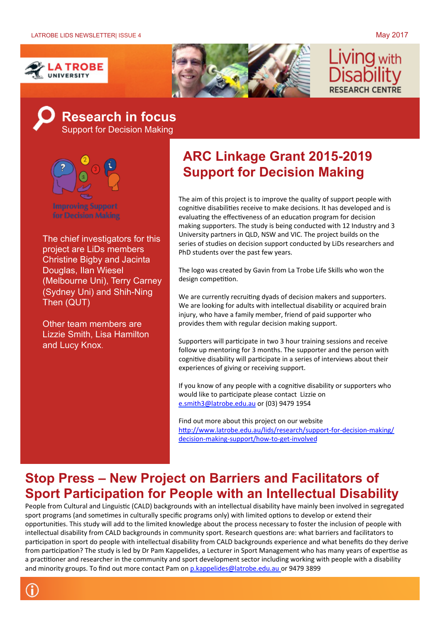





## **Research in focus**  Support for Decision Making



**Improving Support** 

The chief investigators for this project are LiDs members Christine Bigby and Jacinta Douglas, Ilan Wiesel (Melbourne Uni), Terry Carney (Sydney Uni) and Shih-Ning Then (QUT)

Other team members are Lizzie Smith, Lisa Hamilton and Lucy Knox.

A

## **ARC Linkage Grant 2015-2019 Support for Decision Making**

The aim of this project is to improve the quality of support people with cognitive disabilities receive to make decisions. It has developed and is evaluating the effectiveness of an education program for decision making supporters. The study is being conducted with 12 Industry and 3 University partners in QLD. NSW and VIC. The project builds on the series of studies on decision support conducted by LiDs researchers and PhD students over the past few years.

The logo was created by Gavin from La Trobe Life Skills who won the design competition.

We are currently recruiting dyads of decision makers and supporters. We are looking for adults with intellectual disability or acquired brain injury, who have a family member, friend of paid supporter who provides them with regular decision making support.

Supporters will participate in two 3 hour training sessions and receive follow up mentoring for 3 months. The supporter and the person with cognitive disability will participate in a series of interviews about their experiences of giving or receiving support.

If you know of any people with a cognitive disability or supporters who would like to participate please contact Lizzie on e.smith3@latrobe.edu.au or (03) 9479 1954

Find out more about this project on our website http://www.latrobe.edu.au/lids/research/support-for-decision-making/ decision-making-support/how-to-get-involved

## **Stop Press – New Project on Barriers and Facilitators of Sport Participation for People with an Intellectual Disability**

People from Cultural and Linguistic (CALD) backgrounds with an intellectual disability have mainly been involved in segregated sport programs (and sometimes in culturally specific programs only) with limited options to develop or extend their opportunities. This study will add to the limited knowledge about the process necessary to foster the inclusion of people with intellectual disability from CALD backgrounds in community sport. Research questions are: what barriers and facilitators to participation in sport do people with intellectual disability from CALD backgrounds experience and what benefits do they derive from participation? The study is led by Dr Pam Kappelides, a Lecturer in Sport Management who has many years of expertise as a practitioner and researcher in the community and sport development sector including working with people with a disability and minority groups. To find out more contact Pam on p.kappelides@latrobe.edu.au or 9479 3899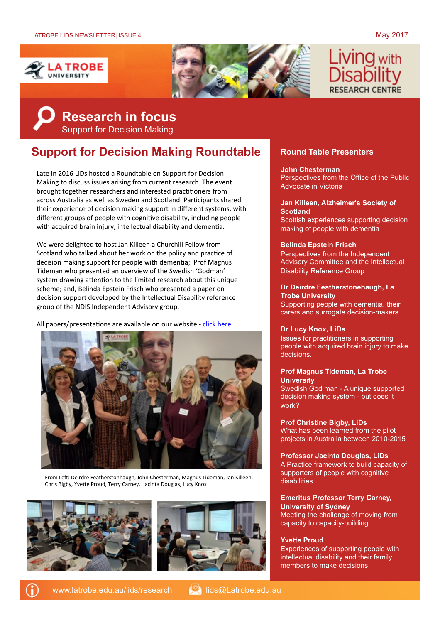



# **IVING** with



## **Support for Decision Making Roundtable Round Table Presenters**

Late in 2016 LiDs hosted a Roundtable on Support for Decision Making to discuss issues arising from current research. The event brought together researchers and interested practitioners from across Australia as well as Sweden and Scotland. Participants shared their experience of decision making support in different systems, with different groups of people with cognitive disability, including people with acquired brain injury, intellectual disability and dementia.

We were delighted to host Jan Killeen a Churchill Fellow from Scotland who talked about her work on the policy and practice of decision making support for people with dementia; Prof Magnus Tideman who presented an overview of the Swedish 'Godman' system drawing attention to the limited research about this unique scheme; and, Belinda Epstein Frisch who presented a paper on decision support developed by the Intellectual Disability reference group of the NDIS Independent Advisory group.

All papers/presentations are available on our website - click here.



From Left: Deirdre Featherstonhaugh, John Chesterman, Magnus Tideman, Jan Killeen, Chris Bigby, Yvette Proud, Terry Carney, Jacinta Douglas, Lucy Knox





**John Chesterman** Perspectives from the Office of the Public Advocate in Victoria

#### **Jan Killeen, Alzheimer's Society of Scotland** Scottish experiences supporting decision

making of people with dementia

#### **Belinda Epstein Frisch**

Perspectives from the Independent Advisory Committee and the Intellectual Disability Reference Group

### **Dr Deirdre Featherstonehaugh, La Trobe University**

Supporting people with dementia, their carers and surrogate decision-makers.

#### **Dr Lucy Knox, LiDs**

Issues for practitioners in supporting people with acquired brain injury to make decisions.

#### **Prof Magnus Tideman, La Trobe University**

Swedish God man - A unique supported decision making system - but does it work?

**Prof Christine Bigby, LiDs** What has been learned from the pilot projects in Australia between 2010-2015

**Professor Jacinta Douglas, LiDs** A Practice framework to build capacity of supporters of people with cognitive disabilities.

#### **Emeritus Professor Terry Carney, University of Sydney**

Meeting the challenge of moving from capacity to capacity-building

#### **Yvette Proud**

Experiences of supporting people with intellectual disability and their family members to make decisions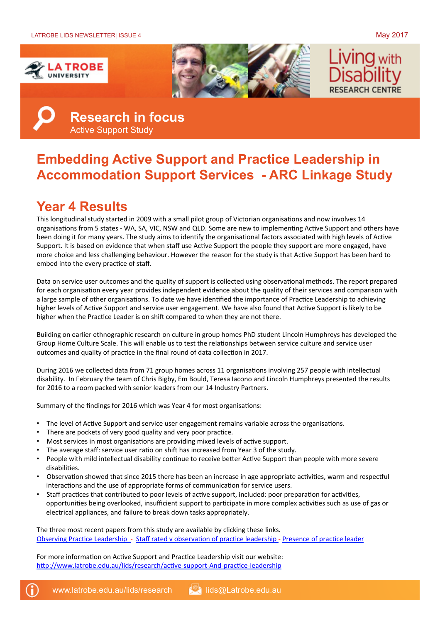





**Research in focus**  Active Support Study

## **Embedding Active Support and Practice Leadership in Accommodation Support Services - ARC Linkage Study**

## **Year 4 Results**

This longitudinal study started in 2009 with a small pilot group of Victorian organisations and now involves 14 organisations from 5 states - WA, SA, VIC, NSW and QLD. Some are new to implementing Active Support and others have been doing it for many years. The study aims to identify the organisational factors associated with high levels of Active Support. It is based on evidence that when staff use Active Support the people they support are more engaged, have more choice and less challenging behaviour. However the reason for the study is that Active Support has been hard to embed into the every practice of staff.

Data on service user outcomes and the quality of support is collected using observational methods. The report prepared for each organisation every year provides independent evidence about the quality of their services and comparison with a large sample of other organisations. To date we have identified the importance of Practice Leadership to achieving higher levels of Active Support and service user engagement. We have also found that Active Support is likely to be higher when the Practice Leader is on shift compared to when they are not there.

Building on earlier ethnographic research on culture in group homes PhD student Lincoln Humphreys has developed the Group Home Culture Scale. This will enable us to test the relationships between service culture and service user outcomes and quality of practice in the final round of data collection in 2017.

During 2016 we collected data from 71 group homes across 11 organisations involving 257 people with intellectual disability. In February the team of Chris Bigby, Em Bould, Teresa Iacono and Lincoln Humphreys presented the results for 2016 to a room packed with senior leaders from our 14 Industry Partners.

Summary of the findings for 2016 which was Year 4 for most organisations:

- The level of Active Support and service user engagement remains variable across the organisations.
- There are pockets of very good quality and very poor practice.
- Most services in most organisations are providing mixed levels of active support.
- The average staff: service user ratio on shift has increased from Year 3 of the study.
- People with mild intellectual disability continue to receive better Active Support than people with more severe disabilities.
- Observation showed that since 2015 there has been an increase in age appropriate activities, warm and respectful interactions and the use of appropriate forms of communication for service users.
- Staff practices that contributed to poor levels of active support, included: poor preparation for activities, opportunities being overlooked, insufficient support to participate in more complex activities such as use of gas or electrical appliances, and failure to break down tasks appropriately.

The three most recent papers from this study are available by clicking these links. Observing Practice Leadership - Staff rated v observation of practice leadership - Presence of practice leader

For more information on Active Support and Practice Leadership visit our website: http://www.latrobe.edu.au/lids/research/active-support-And-practice-leadership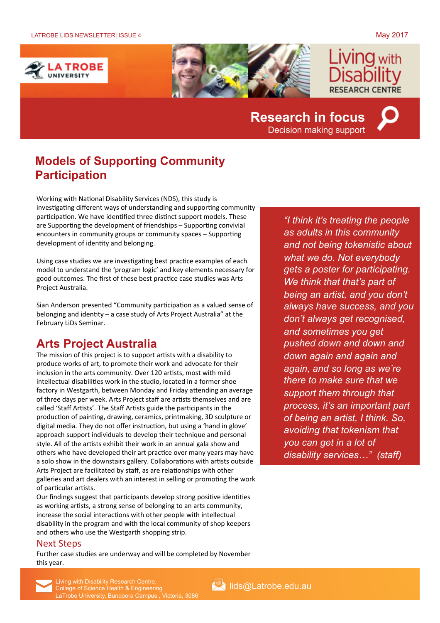



## **Research in focus**  Decision making support



## **Models of Supporting Community Participation**

Working with National Disability Services (NDS), this study is investigating different ways of understanding and supporting community participation. We have identified three distinct support models. These are Supporting the development of friendships  $-$  Supporting convivial encounters in community groups or community spaces  $-$  Supporting development of identity and belonging.

Using case studies we are investigating best practice examples of each model to understand the 'program logic' and key elements necessary for good outcomes. The first of these best practice case studies was Arts Project Australia.

Sian Anderson presented "Community participation as a valued sense of belonging and identity - a case study of Arts Project Australia" at the February LiDs Seminar.

## **Arts Project Australia**

The mission of this project is to support artists with a disability to produce works of art, to promote their work and advocate for their inclusion in the arts community. Over 120 artists, most with mild intellectual disabilities work in the studio, located in a former shoe factory in Westgarth, between Monday and Friday attending an average of three days per week. Arts Project staff are artists themselves and are called 'Staff Artists'. The Staff Artists guide the participants in the production of painting, drawing, ceramics, printmaking, 3D sculpture or digital media. They do not offer instruction, but using a 'hand in glove' approach support individuals to develop their technique and personal style. All of the artists exhibit their work in an annual gala show and others who have developed their art practice over many years may have a solo show in the downstairs gallery. Collaborations with artists outside Arts Project are facilitated by staff, as are relationships with other galleries and art dealers with an interest in selling or promoting the work of particular artists.

Our findings suggest that participants develop strong positive identities as working artists, a strong sense of belonging to an arts community, increase the social interactions with other people with intellectual disability in the program and with the local community of shop keepers and others who use the Westgarth shopping strip.

#### Next Steps

Further case studies are underway and will be completed by November this year.

*"I think it's treating the people as adults in this community and not being tokenistic about what we do. Not everybody gets a poster for participating. We think that that's part of being an artist, and you don't always have success, and you don't always get recognised, and sometimes you get pushed down and down and down again and again and again, and so long as we're there to make sure that we support them through that process, it's an important part of being an artist, I think. So, avoiding that tokenism that you can get in a lot of disability services…" (staff)*



Living with Disability Research Centre, **Engineering and Control Centre, College of Science Health & Engineering** LaTrobe University, Bundoora Campus , Victoria, 3086

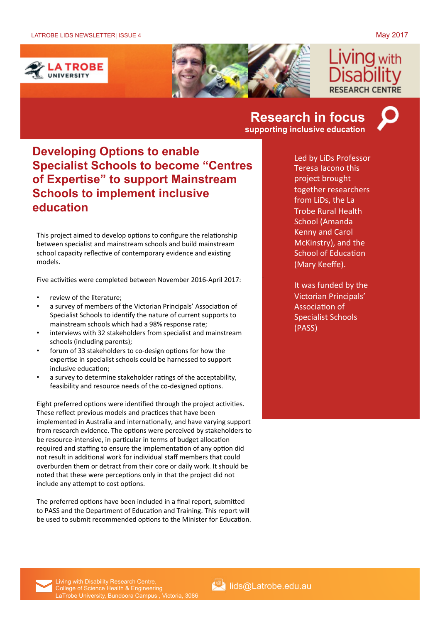



## **Research in focus supporting inclusive education**



**Developing Options to enable Specialist Schools to become "Centres of Expertise" to support Mainstream Schools to implement inclusive education**

This project aimed to develop options to configure the relationship between specialist and mainstream schools and build mainstream school capacity reflective of contemporary evidence and existing models. 

Five activities were completed between November 2016-April 2017:

- review of the literature:
- a survey of members of the Victorian Principals' Association of Specialist Schools to identify the nature of current supports to mainstream schools which had a 98% response rate;
- interviews with 32 stakeholders from specialist and mainstream schools (including parents);
- forum of 33 stakeholders to co-design options for how the expertise in specialist schools could be harnessed to support inclusive education;
- a survey to determine stakeholder ratings of the acceptability, feasibility and resource needs of the co-designed options.

Eight preferred options were identified through the project activities. These reflect previous models and practices that have been implemented in Australia and internationally, and have varying support from research evidence. The options were perceived by stakeholders to be resource-intensive, in particular in terms of budget allocation required and staffing to ensure the implementation of any option did not result in additional work for individual staff members that could overburden them or detract from their core or daily work. It should be noted that these were perceptions only in that the project did not include any attempt to cost options.

The preferred options have been included in a final report, submitted to PASS and the Department of Education and Training. This report will be used to submit recommended options to the Minister for Education. Led by LiDs Professor Teresa Iacono this project brought together researchers from LiDs, the La **Trobe Rural Health** School (Amanda **Kenny and Carol** McKinstry), and the **School of Education** (Mary Keeffe).

It was funded by the Victorian Principals' Association of Specialist Schools (PASS)

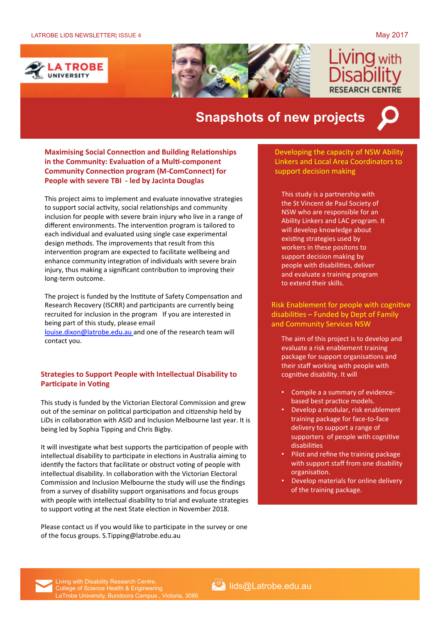**ING** with

**EARCH CENTRE** 





## **Snapshots of new projects**



**Maximising Social Connection and Building Relationships in the Community: Evaluation of a Multi-component Community Connection program (M-ComConnect) for People with severe TBI - led by Jacinta Douglas** 

This project aims to implement and evaluate innovative strategies to support social activity, social relationships and community inclusion for people with severe brain injury who live in a range of different environments. The intervention program is tailored to each individual and evaluated using single case experimental design methods. The improvements that result from this intervention program are expected to facilitate wellbeing and enhance community integration of individuals with severe brain injury, thus making a significant contribution to improving their long-term outcome.

The project is funded by the Institute of Safety Compensation and Research Recovery (ISCRR) and participants are currently being recruited for inclusion in the program If you are interested in being part of this study, please email louise.dixon@latrobe.edu.au and one of the research team will

contact you.

#### **Strategies to Support People with Intellectual Disability to Participate in Voting**

This study is funded by the Victorian Electoral Commission and grew out of the seminar on political participation and citizenship held by LiDs in collaboration with ASID and Inclusion Melbourne last year. It is being led by Sophia Tipping and Chris Bigby.

It will investigate what best supports the participation of people with intellectual disability to participate in elections in Australia aiming to identify the factors that facilitate or obstruct voting of people with intellectual disability. In collaboration with the Victorian Electoral Commission and Inclusion Melbourne the study will use the findings from a survey of disability support organisations and focus groups with people with intellectual disability to trial and evaluate strategies to support voting at the next State election in November 2018.

Please contact us if you would like to participate in the survey or one of the focus groups. S.Tipping@latrobe.edu.au

support decision making Developing the capacity of NSW Ability Linkers and Local Area Coordinators to

This study is a partnership with the St Vincent de Paul Society of NSW who are responsible for an Ability Linkers and LAC program. It will develop knowledge about existing strategies used by workers in these positons to support decision making by people with disabilities, deliver and evaluate a training program to extend their skills.

Risk Enablement for people with cognitive  $disabilities$  – Funded by Dept of Family and Community Services NSW

The aim of this project is to develop and evaluate a risk enablement training package for support organisations and their staff working with people with cognitive disability. It will

- Compile a a summary of evidencebased best practice models.
- Develop a modular, risk enablement training package for face-to-face delivery to support a range of supporters of people with cognitive disabilities
- Pilot and refine the training package with support staff from one disability organisation.
- Develop materials for online delivery of the training package.

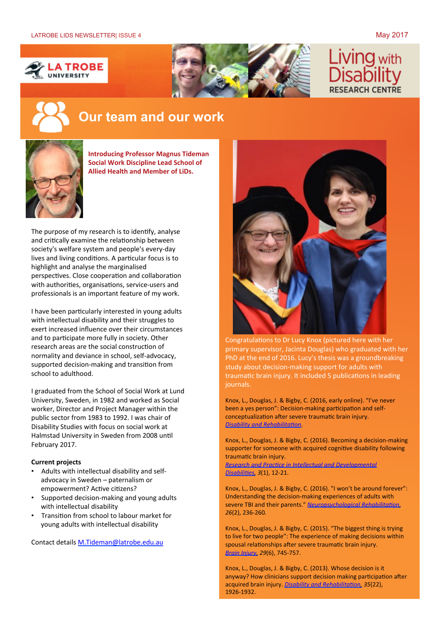



# **IVING** with

## **Our team and our work**



**Introducing Professor Magnus Tideman Social Work Discipline Lead School of Allied Health and Member of LiDs.** 

The purpose of my research is to identify, analyse and critically examine the relationship between society's welfare system and people's every-day lives and living conditions. A particular focus is to highlight and analyse the marginalised perspectives. Close cooperation and collaboration with authorities, organisations, service-users and professionals is an important feature of my work.

I have been particularly interested in young adults with intellectual disability and their struggles to exert increased influence over their circumstances and to participate more fully in society. Other research areas are the social construction of normality and deviance in school, self-advocacy, supported decision-making and transition from school to adulthood.

I graduated from the School of Social Work at Lund University, Sweden, in 1982 and worked as Social worker, Director and Project Manager within the public sector from 1983 to 1992. I was chair of Disability Studies with focus on social work at Halmstad University in Sweden from 2008 until February 2017.

#### **Current projects**

- Adults with intellectual disability and selfadvocacy in Sweden - paternalism or empowerment? Active citizens?
- Supported decision-making and young adults with intellectual disability
- Transition from school to labour market for young adults with intellectual disability

Contact details M.Tideman@latrobe.edu.au



Congratulations to Dr Lucy Knox (pictured here with her primary supervisor, Jacinta Douglas) who graduated with her PhD at the end of 2016. Lucy's thesis was a groundbreaking study about decision-making support for adults with traumatic brain injury. It included 5 publications in leading journals. 

Knox, L., Douglas, J. & Bigby, C. (2016, early online). "I've never been a yes person": Decision-making participation and selfconceptualization after severe traumatic brain injury. *Disability and Rehabilitation.* 

Knox, L., Douglas, J. & Bigby, C. (2016). Becoming a decision-making supporter for someone with acquired cognitive disability following traumatic brain injury.

*Research and Practice in Intellectual and Developmental Disabilities*, 3(1), 12-21.

Knox, L., Douglas, J. & Bigby, C. (2016). "I won't be around forever": Understanding the decision-making experiences of adults with severe TBI and their parents." *Neuropsychological Rehabilitation*, 26(2), 236-260.

Knox, L., Douglas, J. & Bigby, C. (2015). "The biggest thing is trying to live for two people": The experience of making decisions within spousal relationships after severe traumatic brain injury. *Brain Injury, 29*(6), 745-757.

Knox, L., Douglas, J. & Bigby, C. (2013). Whose decision is it anyway? How clinicians support decision making participation after acquired brain injury. *Disability and Rehabilitation*, 35(22), 1926-1932.